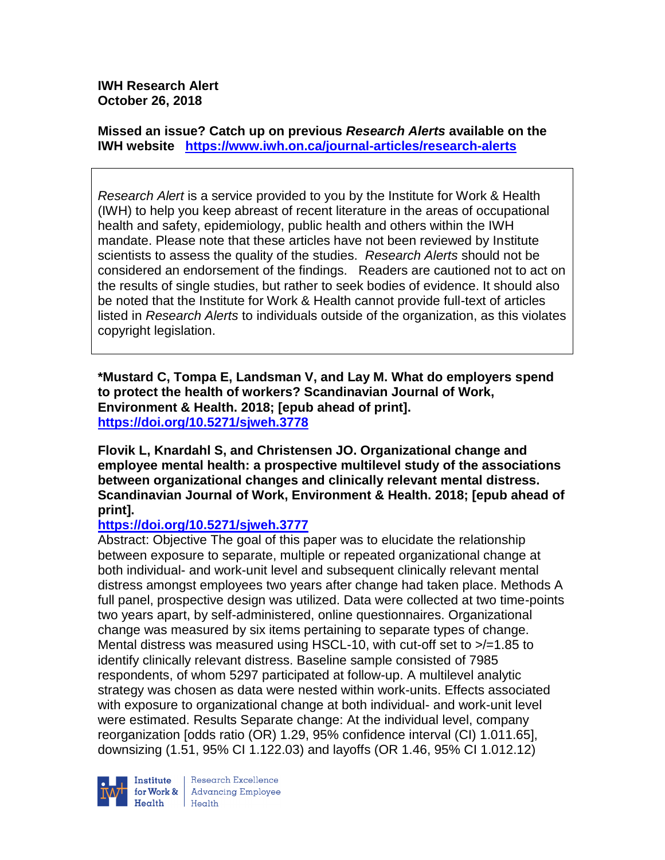**IWH Research Alert October 26, 2018**

**Missed an issue? Catch up on previous** *Research Alerts* **available on the [IWH website](http://www.iwh.on.ca/research-alerts) <https://www.iwh.on.ca/journal-articles/research-alerts>**

*Research Alert* is a service provided to you by the Institute for Work & Health (IWH) to help you keep abreast of recent literature in the areas of occupational health and safety, epidemiology, public health and others within the IWH mandate. Please note that these articles have not been reviewed by Institute scientists to assess the quality of the studies. *Research Alerts* should not be considered an endorsement of the findings. Readers are cautioned not to act on the results of single studies, but rather to seek bodies of evidence. It should also be noted that the Institute for Work & Health cannot provide full-text of articles listed in *Research Alerts* to individuals outside of the organization, as this violates copyright legislation.

**\*Mustard C, Tompa E, Landsman V, and Lay M. What do employers spend to protect the health of workers? Scandinavian Journal of Work, Environment & Health. 2018; [epub ahead of print]. <https://doi.org/10.5271/sjweh.3778>** 

**Flovik L, Knardahl S, and Christensen JO. Organizational change and employee mental health: a prospective multilevel study of the associations between organizational changes and clinically relevant mental distress. Scandinavian Journal of Work, Environment & Health. 2018; [epub ahead of print].**

#### **<https://doi.org/10.5271/sjweh.3777>**

Abstract: Objective The goal of this paper was to elucidate the relationship between exposure to separate, multiple or repeated organizational change at both individual- and work-unit level and subsequent clinically relevant mental distress amongst employees two years after change had taken place. Methods A full panel, prospective design was utilized. Data were collected at two time-points two years apart, by self-administered, online questionnaires. Organizational change was measured by six items pertaining to separate types of change. Mental distress was measured using HSCL-10, with cut-off set to  $\ge$  /=1.85 to identify clinically relevant distress. Baseline sample consisted of 7985 respondents, of whom 5297 participated at follow-up. A multilevel analytic strategy was chosen as data were nested within work-units. Effects associated with exposure to organizational change at both individual- and work-unit level were estimated. Results Separate change: At the individual level, company reorganization [odds ratio (OR) 1.29, 95% confidence interval (CI) 1.011.65], downsizing (1.51, 95% CI 1.122.03) and layoffs (OR 1.46, 95% CI 1.012.12)

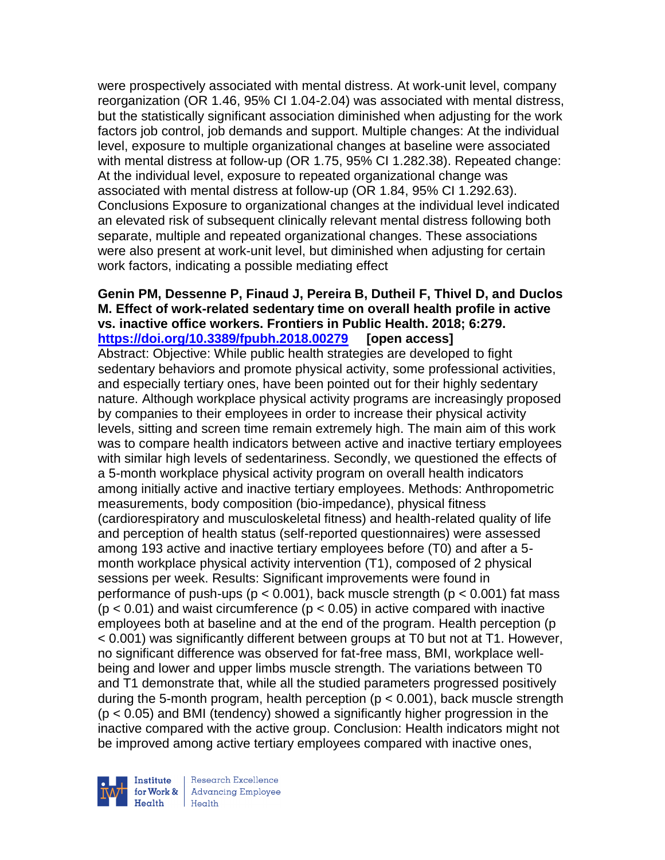were prospectively associated with mental distress. At work-unit level, company reorganization (OR 1.46, 95% CI 1.04-2.04) was associated with mental distress, but the statistically significant association diminished when adjusting for the work factors job control, job demands and support. Multiple changes: At the individual level, exposure to multiple organizational changes at baseline were associated with mental distress at follow-up (OR 1.75, 95% CI 1.282.38). Repeated change: At the individual level, exposure to repeated organizational change was associated with mental distress at follow-up (OR 1.84, 95% CI 1.292.63). Conclusions Exposure to organizational changes at the individual level indicated an elevated risk of subsequent clinically relevant mental distress following both separate, multiple and repeated organizational changes. These associations were also present at work-unit level, but diminished when adjusting for certain work factors, indicating a possible mediating effect

#### **Genin PM, Dessenne P, Finaud J, Pereira B, Dutheil F, Thivel D, and Duclos M. Effect of work-related sedentary time on overall health profile in active vs. inactive office workers. Frontiers in Public Health. 2018; 6:279. <https://doi.org/10.3389/fpubh.2018.00279> [open access]**

Abstract: Objective: While public health strategies are developed to fight sedentary behaviors and promote physical activity, some professional activities, and especially tertiary ones, have been pointed out for their highly sedentary nature. Although workplace physical activity programs are increasingly proposed by companies to their employees in order to increase their physical activity levels, sitting and screen time remain extremely high. The main aim of this work was to compare health indicators between active and inactive tertiary employees with similar high levels of sedentariness. Secondly, we questioned the effects of a 5-month workplace physical activity program on overall health indicators among initially active and inactive tertiary employees. Methods: Anthropometric measurements, body composition (bio-impedance), physical fitness (cardiorespiratory and musculoskeletal fitness) and health-related quality of life and perception of health status (self-reported questionnaires) were assessed among 193 active and inactive tertiary employees before (T0) and after a 5 month workplace physical activity intervention (T1), composed of 2 physical sessions per week. Results: Significant improvements were found in performance of push-ups ( $p < 0.001$ ), back muscle strength ( $p < 0.001$ ) fat mass  $(p < 0.01)$  and waist circumference  $(p < 0.05)$  in active compared with inactive employees both at baseline and at the end of the program. Health perception (p < 0.001) was significantly different between groups at T0 but not at T1. However, no significant difference was observed for fat-free mass, BMI, workplace wellbeing and lower and upper limbs muscle strength. The variations between T0 and T1 demonstrate that, while all the studied parameters progressed positively during the 5-month program, health perception ( $p < 0.001$ ), back muscle strength (p < 0.05) and BMI (tendency) showed a significantly higher progression in the inactive compared with the active group. Conclusion: Health indicators might not be improved among active tertiary employees compared with inactive ones,



Research Excellence for Work & | Advancing Employee  $H_{\text{each}}$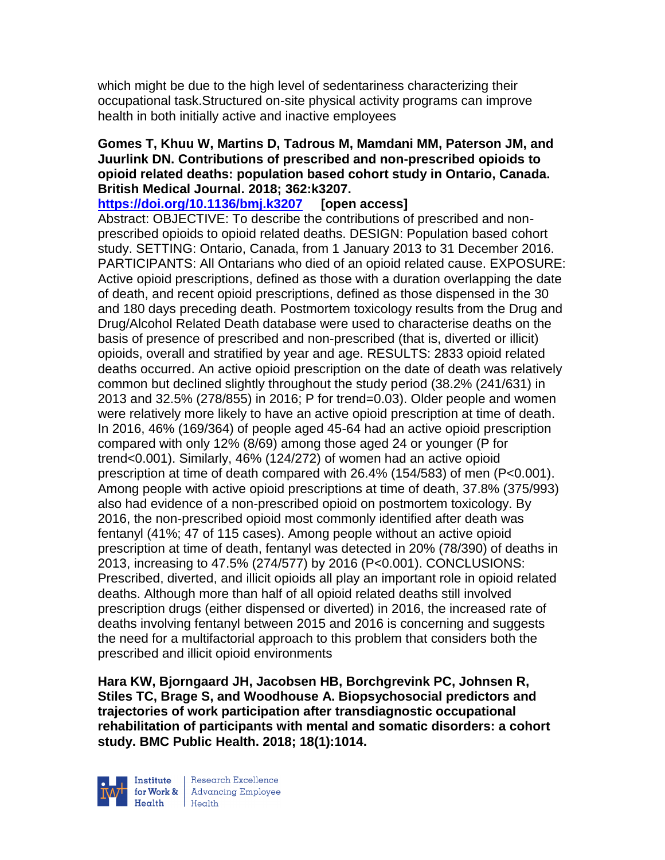which might be due to the high level of sedentariness characterizing their occupational task.Structured on-site physical activity programs can improve health in both initially active and inactive employees

#### **Gomes T, Khuu W, Martins D, Tadrous M, Mamdani MM, Paterson JM, and Juurlink DN. Contributions of prescribed and non-prescribed opioids to opioid related deaths: population based cohort study in Ontario, Canada. British Medical Journal. 2018; 362:k3207.**

**<https://doi.org/10.1136/bmj.k3207> [open access]** Abstract: OBJECTIVE: To describe the contributions of prescribed and nonprescribed opioids to opioid related deaths. DESIGN: Population based cohort study. SETTING: Ontario, Canada, from 1 January 2013 to 31 December 2016. PARTICIPANTS: All Ontarians who died of an opioid related cause. EXPOSURE: Active opioid prescriptions, defined as those with a duration overlapping the date of death, and recent opioid prescriptions, defined as those dispensed in the 30 and 180 days preceding death. Postmortem toxicology results from the Drug and Drug/Alcohol Related Death database were used to characterise deaths on the basis of presence of prescribed and non-prescribed (that is, diverted or illicit) opioids, overall and stratified by year and age. RESULTS: 2833 opioid related deaths occurred. An active opioid prescription on the date of death was relatively common but declined slightly throughout the study period (38.2% (241/631) in 2013 and 32.5% (278/855) in 2016; P for trend=0.03). Older people and women were relatively more likely to have an active opioid prescription at time of death. In 2016, 46% (169/364) of people aged 45-64 had an active opioid prescription compared with only 12% (8/69) among those aged 24 or younger (P for trend<0.001). Similarly, 46% (124/272) of women had an active opioid prescription at time of death compared with 26.4% (154/583) of men (P<0.001). Among people with active opioid prescriptions at time of death, 37.8% (375/993) also had evidence of a non-prescribed opioid on postmortem toxicology. By 2016, the non-prescribed opioid most commonly identified after death was fentanyl (41%; 47 of 115 cases). Among people without an active opioid prescription at time of death, fentanyl was detected in 20% (78/390) of deaths in 2013, increasing to 47.5% (274/577) by 2016 (P<0.001). CONCLUSIONS: Prescribed, diverted, and illicit opioids all play an important role in opioid related deaths. Although more than half of all opioid related deaths still involved prescription drugs (either dispensed or diverted) in 2016, the increased rate of deaths involving fentanyl between 2015 and 2016 is concerning and suggests the need for a multifactorial approach to this problem that considers both the prescribed and illicit opioid environments

**Hara KW, Bjorngaard JH, Jacobsen HB, Borchgrevink PC, Johnsen R, Stiles TC, Brage S, and Woodhouse A. Biopsychosocial predictors and trajectories of work participation after transdiagnostic occupational rehabilitation of participants with mental and somatic disorders: a cohort study. BMC Public Health. 2018; 18(1):1014.**

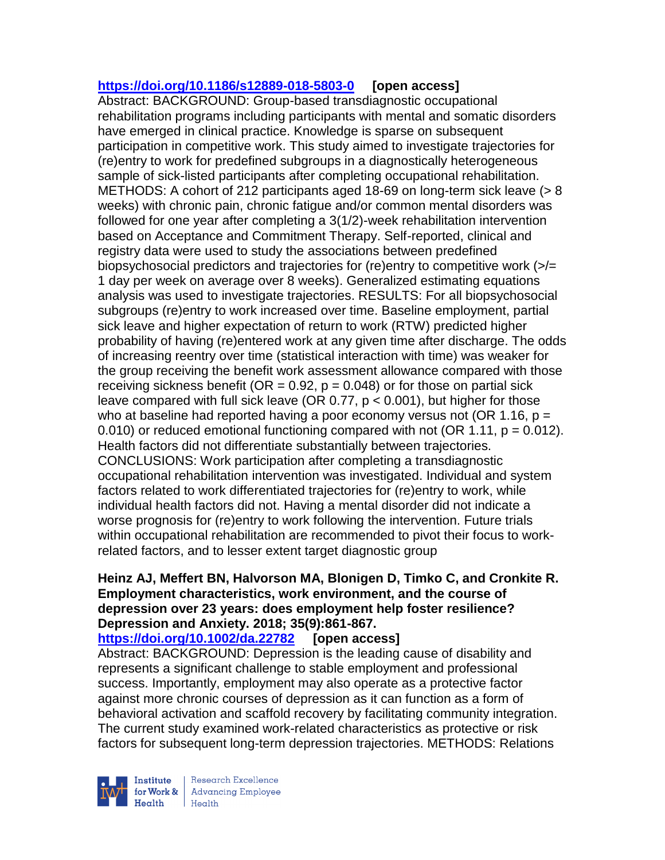# **<https://doi.org/10.1186/s12889-018-5803-0> [open access]**

Abstract: BACKGROUND: Group-based transdiagnostic occupational rehabilitation programs including participants with mental and somatic disorders have emerged in clinical practice. Knowledge is sparse on subsequent participation in competitive work. This study aimed to investigate trajectories for (re)entry to work for predefined subgroups in a diagnostically heterogeneous sample of sick-listed participants after completing occupational rehabilitation. METHODS: A cohort of 212 participants aged 18-69 on long-term sick leave (> 8 weeks) with chronic pain, chronic fatigue and/or common mental disorders was followed for one year after completing a 3(1/2)-week rehabilitation intervention based on Acceptance and Commitment Therapy. Self-reported, clinical and registry data were used to study the associations between predefined biopsychosocial predictors and trajectories for (re)entry to competitive work (>/= 1 day per week on average over 8 weeks). Generalized estimating equations analysis was used to investigate trajectories. RESULTS: For all biopsychosocial subgroups (re)entry to work increased over time. Baseline employment, partial sick leave and higher expectation of return to work (RTW) predicted higher probability of having (re)entered work at any given time after discharge. The odds of increasing reentry over time (statistical interaction with time) was weaker for the group receiving the benefit work assessment allowance compared with those receiving sickness benefit (OR =  $0.92$ ,  $p = 0.048$ ) or for those on partial sick leave compared with full sick leave (OR  $0.77$ ,  $p < 0.001$ ), but higher for those who at baseline had reported having a poor economy versus not (OR 1.16,  $p =$ 0.010) or reduced emotional functioning compared with not  $(OR 1.11, p = 0.012)$ . Health factors did not differentiate substantially between trajectories. CONCLUSIONS: Work participation after completing a transdiagnostic occupational rehabilitation intervention was investigated. Individual and system factors related to work differentiated trajectories for (re)entry to work, while individual health factors did not. Having a mental disorder did not indicate a worse prognosis for (re)entry to work following the intervention. Future trials within occupational rehabilitation are recommended to pivot their focus to workrelated factors, and to lesser extent target diagnostic group

### **Heinz AJ, Meffert BN, Halvorson MA, Blonigen D, Timko C, and Cronkite R. Employment characteristics, work environment, and the course of depression over 23 years: does employment help foster resilience? Depression and Anxiety. 2018; 35(9):861-867.**

**<https://doi.org/10.1002/da.22782> [open access]**

Abstract: BACKGROUND: Depression is the leading cause of disability and represents a significant challenge to stable employment and professional success. Importantly, employment may also operate as a protective factor against more chronic courses of depression as it can function as a form of behavioral activation and scaffold recovery by facilitating community integration. The current study examined work-related characteristics as protective or risk factors for subsequent long-term depression trajectories. METHODS: Relations

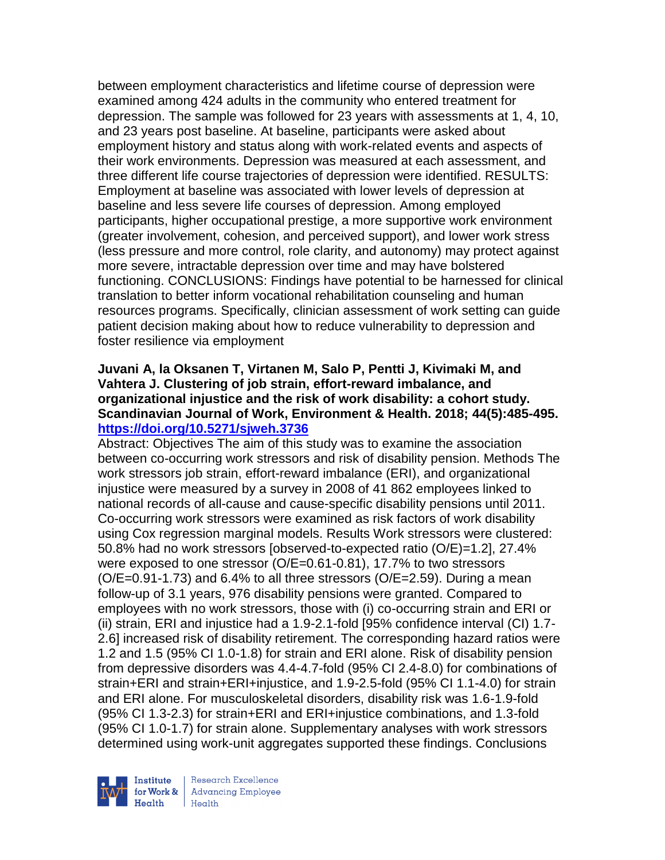between employment characteristics and lifetime course of depression were examined among 424 adults in the community who entered treatment for depression. The sample was followed for 23 years with assessments at 1, 4, 10, and 23 years post baseline. At baseline, participants were asked about employment history and status along with work-related events and aspects of their work environments. Depression was measured at each assessment, and three different life course trajectories of depression were identified. RESULTS: Employment at baseline was associated with lower levels of depression at baseline and less severe life courses of depression. Among employed participants, higher occupational prestige, a more supportive work environment (greater involvement, cohesion, and perceived support), and lower work stress (less pressure and more control, role clarity, and autonomy) may protect against more severe, intractable depression over time and may have bolstered functioning. CONCLUSIONS: Findings have potential to be harnessed for clinical translation to better inform vocational rehabilitation counseling and human resources programs. Specifically, clinician assessment of work setting can guide patient decision making about how to reduce vulnerability to depression and foster resilience via employment

#### **Juvani A, la Oksanen T, Virtanen M, Salo P, Pentti J, Kivimaki M, and Vahtera J. Clustering of job strain, effort-reward imbalance, and organizational injustice and the risk of work disability: a cohort study. Scandinavian Journal of Work, Environment & Health. 2018; 44(5):485-495. <https://doi.org/10.5271/sjweh.3736>**

Abstract: Objectives The aim of this study was to examine the association between co-occurring work stressors and risk of disability pension. Methods The work stressors job strain, effort-reward imbalance (ERI), and organizational injustice were measured by a survey in 2008 of 41 862 employees linked to national records of all-cause and cause-specific disability pensions until 2011. Co-occurring work stressors were examined as risk factors of work disability using Cox regression marginal models. Results Work stressors were clustered: 50.8% had no work stressors [observed-to-expected ratio (O/E)=1.2], 27.4% were exposed to one stressor (O/E=0.61-0.81), 17.7% to two stressors  $(O/E=0.91-1.73)$  and 6.4% to all three stressors  $(O/E=2.59)$ . During a mean follow-up of 3.1 years, 976 disability pensions were granted. Compared to employees with no work stressors, those with (i) co-occurring strain and ERI or (ii) strain, ERI and injustice had a 1.9-2.1-fold [95% confidence interval (CI) 1.7- 2.6] increased risk of disability retirement. The corresponding hazard ratios were 1.2 and 1.5 (95% CI 1.0-1.8) for strain and ERI alone. Risk of disability pension from depressive disorders was 4.4-4.7-fold (95% CI 2.4-8.0) for combinations of strain+ERI and strain+ERI+injustice, and 1.9-2.5-fold (95% CI 1.1-4.0) for strain and ERI alone. For musculoskeletal disorders, disability risk was 1.6-1.9-fold (95% CI 1.3-2.3) for strain+ERI and ERI+injustice combinations, and 1.3-fold (95% CI 1.0-1.7) for strain alone. Supplementary analyses with work stressors determined using work-unit aggregates supported these findings. Conclusions

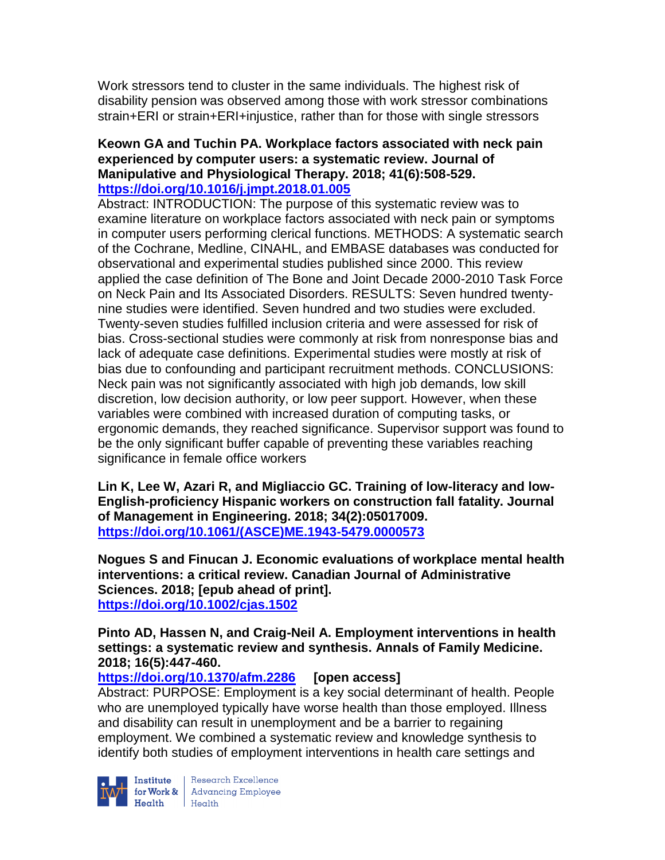Work stressors tend to cluster in the same individuals. The highest risk of disability pension was observed among those with work stressor combinations strain+ERI or strain+ERI+injustice, rather than for those with single stressors

#### **Keown GA and Tuchin PA. Workplace factors associated with neck pain experienced by computer users: a systematic review. Journal of Manipulative and Physiological Therapy. 2018; 41(6):508-529. <https://doi.org/10.1016/j.jmpt.2018.01.005>**

Abstract: INTRODUCTION: The purpose of this systematic review was to examine literature on workplace factors associated with neck pain or symptoms in computer users performing clerical functions. METHODS: A systematic search of the Cochrane, Medline, CINAHL, and EMBASE databases was conducted for observational and experimental studies published since 2000. This review applied the case definition of The Bone and Joint Decade 2000-2010 Task Force on Neck Pain and Its Associated Disorders. RESULTS: Seven hundred twentynine studies were identified. Seven hundred and two studies were excluded. Twenty-seven studies fulfilled inclusion criteria and were assessed for risk of bias. Cross-sectional studies were commonly at risk from nonresponse bias and lack of adequate case definitions. Experimental studies were mostly at risk of bias due to confounding and participant recruitment methods. CONCLUSIONS: Neck pain was not significantly associated with high job demands, low skill discretion, low decision authority, or low peer support. However, when these variables were combined with increased duration of computing tasks, or ergonomic demands, they reached significance. Supervisor support was found to be the only significant buffer capable of preventing these variables reaching significance in female office workers

**Lin K, Lee W, Azari R, and Migliaccio GC. Training of low-literacy and low-English-proficiency Hispanic workers on construction fall fatality. Journal of Management in Engineering. 2018; 34(2):05017009. [https://doi.org/10.1061/\(ASCE\)ME.1943-5479.0000573](https://doi.org/10.1061/(ASCE)ME.1943-5479.0000573)** 

**Nogues S and Finucan J. Economic evaluations of workplace mental health interventions: a critical review. Canadian Journal of Administrative Sciences. 2018; [epub ahead of print]. <https://doi.org/10.1002/cjas.1502>** 

**Pinto AD, Hassen N, and Craig-Neil A. Employment interventions in health settings: a systematic review and synthesis. Annals of Family Medicine. 2018; 16(5):447-460.** 

**<https://doi.org/10.1370/afm.2286> [open access]**

Abstract: PURPOSE: Employment is a key social determinant of health. People who are unemployed typically have worse health than those employed. Illness and disability can result in unemployment and be a barrier to regaining employment. We combined a systematic review and knowledge synthesis to identify both studies of employment interventions in health care settings and



Institute Research Excellence<br>
for Work & Advancing Employee<br>
Health Health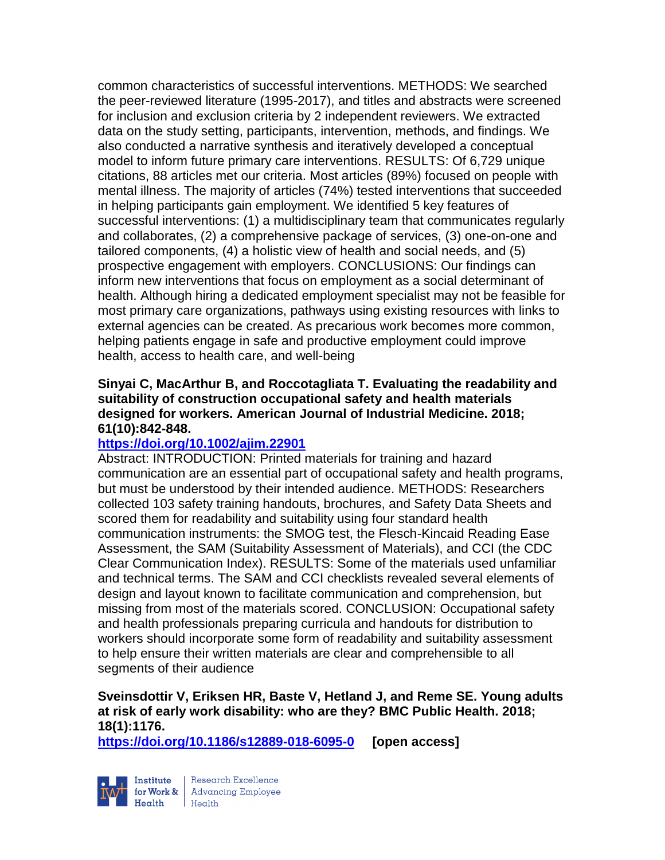common characteristics of successful interventions. METHODS: We searched the peer-reviewed literature (1995-2017), and titles and abstracts were screened for inclusion and exclusion criteria by 2 independent reviewers. We extracted data on the study setting, participants, intervention, methods, and findings. We also conducted a narrative synthesis and iteratively developed a conceptual model to inform future primary care interventions. RESULTS: Of 6,729 unique citations, 88 articles met our criteria. Most articles (89%) focused on people with mental illness. The majority of articles (74%) tested interventions that succeeded in helping participants gain employment. We identified 5 key features of successful interventions: (1) a multidisciplinary team that communicates regularly and collaborates, (2) a comprehensive package of services, (3) one-on-one and tailored components, (4) a holistic view of health and social needs, and (5) prospective engagement with employers. CONCLUSIONS: Our findings can inform new interventions that focus on employment as a social determinant of health. Although hiring a dedicated employment specialist may not be feasible for most primary care organizations, pathways using existing resources with links to external agencies can be created. As precarious work becomes more common, helping patients engage in safe and productive employment could improve health, access to health care, and well-being

#### **Sinyai C, MacArthur B, and Roccotagliata T. Evaluating the readability and suitability of construction occupational safety and health materials designed for workers. American Journal of Industrial Medicine. 2018; 61(10):842-848.**

# **<https://doi.org/10.1002/ajim.22901>**

Abstract: INTRODUCTION: Printed materials for training and hazard communication are an essential part of occupational safety and health programs, but must be understood by their intended audience. METHODS: Researchers collected 103 safety training handouts, brochures, and Safety Data Sheets and scored them for readability and suitability using four standard health communication instruments: the SMOG test, the Flesch-Kincaid Reading Ease Assessment, the SAM (Suitability Assessment of Materials), and CCI (the CDC Clear Communication Index). RESULTS: Some of the materials used unfamiliar and technical terms. The SAM and CCI checklists revealed several elements of design and layout known to facilitate communication and comprehension, but missing from most of the materials scored. CONCLUSION: Occupational safety and health professionals preparing curricula and handouts for distribution to workers should incorporate some form of readability and suitability assessment to help ensure their written materials are clear and comprehensible to all segments of their audience

# **Sveinsdottir V, Eriksen HR, Baste V, Hetland J, and Reme SE. Young adults at risk of early work disability: who are they? BMC Public Health. 2018; 18(1):1176.**

**<https://doi.org/10.1186/s12889-018-6095-0> [open access]**

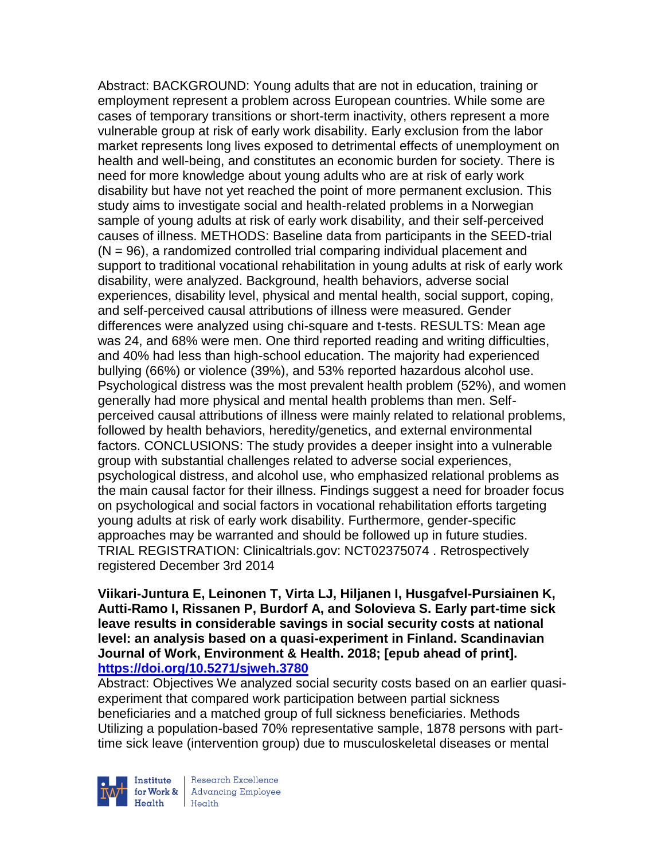Abstract: BACKGROUND: Young adults that are not in education, training or employment represent a problem across European countries. While some are cases of temporary transitions or short-term inactivity, others represent a more vulnerable group at risk of early work disability. Early exclusion from the labor market represents long lives exposed to detrimental effects of unemployment on health and well-being, and constitutes an economic burden for society. There is need for more knowledge about young adults who are at risk of early work disability but have not yet reached the point of more permanent exclusion. This study aims to investigate social and health-related problems in a Norwegian sample of young adults at risk of early work disability, and their self-perceived causes of illness. METHODS: Baseline data from participants in the SEED-trial (N = 96), a randomized controlled trial comparing individual placement and support to traditional vocational rehabilitation in young adults at risk of early work disability, were analyzed. Background, health behaviors, adverse social experiences, disability level, physical and mental health, social support, coping, and self-perceived causal attributions of illness were measured. Gender differences were analyzed using chi-square and t-tests. RESULTS: Mean age was 24, and 68% were men. One third reported reading and writing difficulties, and 40% had less than high-school education. The majority had experienced bullying (66%) or violence (39%), and 53% reported hazardous alcohol use. Psychological distress was the most prevalent health problem (52%), and women generally had more physical and mental health problems than men. Selfperceived causal attributions of illness were mainly related to relational problems, followed by health behaviors, heredity/genetics, and external environmental factors. CONCLUSIONS: The study provides a deeper insight into a vulnerable group with substantial challenges related to adverse social experiences, psychological distress, and alcohol use, who emphasized relational problems as the main causal factor for their illness. Findings suggest a need for broader focus on psychological and social factors in vocational rehabilitation efforts targeting young adults at risk of early work disability. Furthermore, gender-specific approaches may be warranted and should be followed up in future studies. TRIAL REGISTRATION: Clinicaltrials.gov: NCT02375074 . Retrospectively registered December 3rd 2014

**Viikari-Juntura E, Leinonen T, Virta LJ, Hiljanen I, Husgafvel-Pursiainen K, Autti-Ramo I, Rissanen P, Burdorf A, and Solovieva S. Early part-time sick leave results in considerable savings in social security costs at national level: an analysis based on a quasi-experiment in Finland. Scandinavian Journal of Work, Environment & Health. 2018; [epub ahead of print]. <https://doi.org/10.5271/sjweh.3780>** 

Abstract: Objectives We analyzed social security costs based on an earlier quasiexperiment that compared work participation between partial sickness beneficiaries and a matched group of full sickness beneficiaries. Methods Utilizing a population-based 70% representative sample, 1878 persons with parttime sick leave (intervention group) due to musculoskeletal diseases or mental

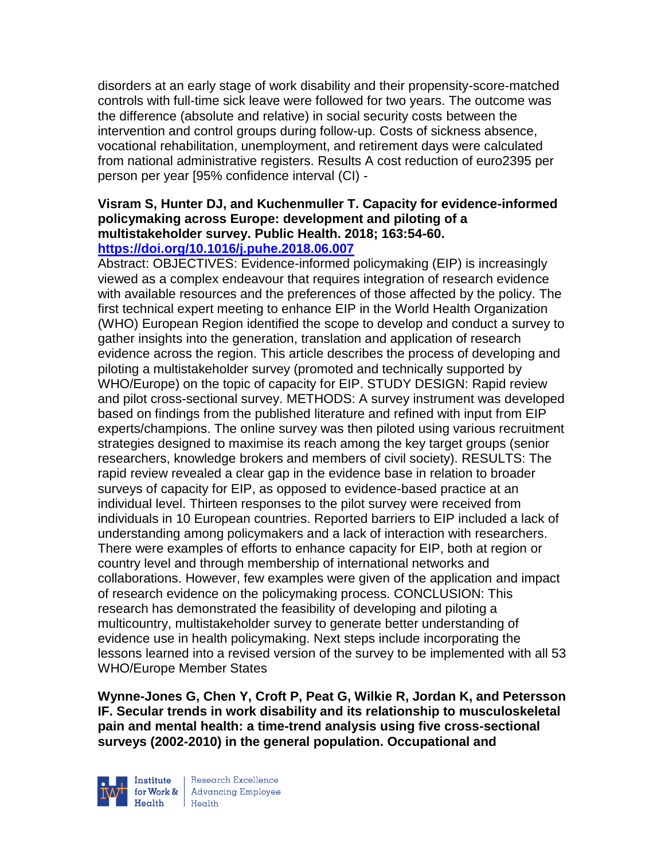disorders at an early stage of work disability and their propensity-score-matched controls with full-time sick leave were followed for two years. The outcome was the difference (absolute and relative) in social security costs between the intervention and control groups during follow-up. Costs of sickness absence, vocational rehabilitation, unemployment, and retirement days were calculated from national administrative registers. Results A cost reduction of euro2395 per person per year [95% confidence interval (CI) -

#### **Visram S, Hunter DJ, and Kuchenmuller T. Capacity for evidence-informed policymaking across Europe: development and piloting of a multistakeholder survey. Public Health. 2018; 163:54-60. <https://doi.org/10.1016/j.puhe.2018.06.007>**

Abstract: OBJECTIVES: Evidence-informed policymaking (EIP) is increasingly viewed as a complex endeavour that requires integration of research evidence with available resources and the preferences of those affected by the policy. The first technical expert meeting to enhance EIP in the World Health Organization (WHO) European Region identified the scope to develop and conduct a survey to gather insights into the generation, translation and application of research evidence across the region. This article describes the process of developing and piloting a multistakeholder survey (promoted and technically supported by WHO/Europe) on the topic of capacity for EIP. STUDY DESIGN: Rapid review and pilot cross-sectional survey. METHODS: A survey instrument was developed based on findings from the published literature and refined with input from EIP experts/champions. The online survey was then piloted using various recruitment strategies designed to maximise its reach among the key target groups (senior researchers, knowledge brokers and members of civil society). RESULTS: The rapid review revealed a clear gap in the evidence base in relation to broader surveys of capacity for EIP, as opposed to evidence-based practice at an individual level. Thirteen responses to the pilot survey were received from individuals in 10 European countries. Reported barriers to EIP included a lack of understanding among policymakers and a lack of interaction with researchers. There were examples of efforts to enhance capacity for EIP, both at region or country level and through membership of international networks and collaborations. However, few examples were given of the application and impact of research evidence on the policymaking process. CONCLUSION: This research has demonstrated the feasibility of developing and piloting a multicountry, multistakeholder survey to generate better understanding of evidence use in health policymaking. Next steps include incorporating the lessons learned into a revised version of the survey to be implemented with all 53 WHO/Europe Member States

**Wynne-Jones G, Chen Y, Croft P, Peat G, Wilkie R, Jordan K, and Petersson IF. Secular trends in work disability and its relationship to musculoskeletal pain and mental health: a time-trend analysis using five cross-sectional surveys (2002-2010) in the general population. Occupational and** 



Institute Research Excellence<br>
for Work & Advancing Employee<br>
Health<br>
Health  $H_{\text{eath}}$